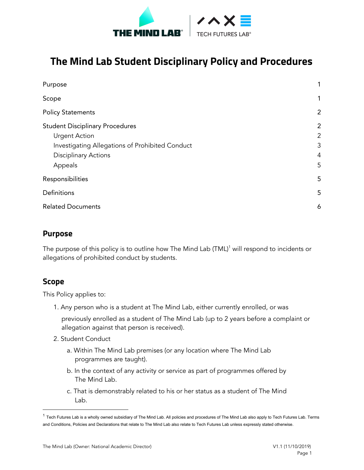



# **The Mind Lab Student Disciplinary Policy and Procedures**

| Purpose                                         | 1              |
|-------------------------------------------------|----------------|
| Scope                                           | 1              |
| <b>Policy Statements</b>                        | $\overline{2}$ |
| <b>Student Disciplinary Procedures</b>          | $\overline{2}$ |
| <b>Urgent Action</b>                            | $\overline{2}$ |
| Investigating Allegations of Prohibited Conduct | 3              |
| <b>Disciplinary Actions</b>                     | $\overline{4}$ |
| Appeals                                         | 5              |
| Responsibilities                                | 5              |
| Definitions                                     | 5              |
| <b>Related Documents</b>                        | 6              |

### <span id="page-0-0"></span>**Purpose**

The purpose of this policy is to outline how The Mind Lab (TML) $^\text{1}$  will respond to incidents or allegations of prohibited conduct by students.

### <span id="page-0-1"></span>**Scope**

This Policy applies to:

1. Any person who is a student at The Mind Lab, either currently enrolled, or was

previously enrolled as a student of The Mind Lab (up to 2 years before a complaint or allegation against that person is received).

- 2. Student Conduct
	- a. Within The Mind Lab premises (or any location where The Mind Lab programmes are taught).
	- b. In the context of any activity or service as part of programmes offered by The Mind Lab.
	- c. That is demonstrably related to his or her status as a student of The Mind Lab.

 $1$  Tech Futures Lab is a wholly owned subsidiary of The Mind Lab. All policies and procedures of The Mind Lab also apply to Tech Futures Lab. Terms and Conditions, Policies and Declarations that relate to The Mind Lab also relate to Tech Futures Lab unless expressly stated otherwise.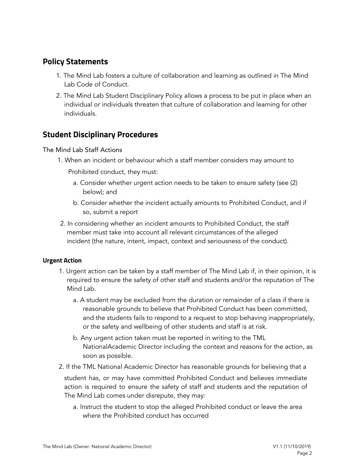### <span id="page-1-0"></span>**Policy Statements**

- 1. The Mind Lab fosters a culture of collaboration and learning as outlined in The Mind Lab Code of Conduct.
- 2. The Mind Lab Student Disciplinary Policy allows a process to be put in place when an individual or individuals threaten that culture of collaboration and learning for other individuals.

# <span id="page-1-1"></span>**Student Disciplinary Procedures**

#### The Mind Lab Staff Actions

1. When an incident or behaviour which a staff member considers may amount to

Prohibited conduct, they must:

- a. Consider whether urgent action needs to be taken to ensure safety (see (2) below); and
- b. Consider whether the incident actually amounts to Prohibited Conduct, and if so, submit a report
- 2. In considering whether an incident amounts to Prohibited Conduct, the staff member must take into account all relevant circumstances of the alleged incident (the nature, intent, impact, context and seriousness of the conduct).

#### <span id="page-1-2"></span>**Urgent Action**

- 1. Urgent action can be taken by a staff member of The Mind Lab if, in their opinion, it is required to ensure the safety of other staff and students and/or the reputation of The Mind Lab.
	- a. A student may be excluded from the duration or remainder of a class if there is reasonable grounds to believe that Prohibited Conduct has been committed, and the students fails to respond to a request to stop behaving inappropriately, or the safety and wellbeing of other students and staff is at risk.
	- b. Any urgent action taken must be reported in writing to the TML NationalAcademic Director including the context and reasons for the action, as soon as possible.
- 2. If the TML National Academic Director has reasonable grounds for believing that a

student has, or may have committed Prohibited Conduct and believes immediate action is required to ensure the safety of staff and students and the reputation of The Mind Lab comes under disrepute, they may:

a. Instruct the student to stop the alleged Prohibited conduct or leave the area where the Prohibited conduct has occurred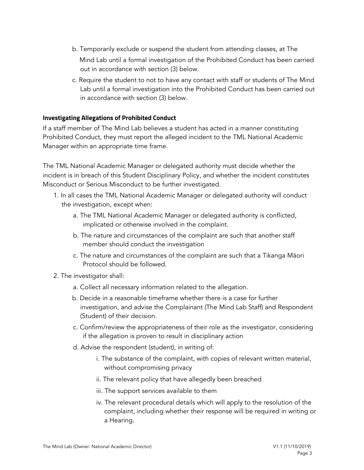- b. Temporarily exclude or suspend the student from attending classes, at The Mind Lab until a formal investigation of the Prohibited Conduct has been carried out in accordance with section (3) below.
- c. Require the student to not to have any contact with staff or students of The Mind Lab until a formal investigation into the Prohibited Conduct has been carried out in accordance with section (3) below.

#### <span id="page-2-0"></span>**Investigating Allegations of Prohibited Conduct**

If a staff member of The Mind Lab believes a student has acted in a manner constituting Prohibited Conduct, they must report the alleged incident to the TML National Academic Manager within an appropriate time frame.

The TML National Academic Manager or delegated authority must decide whether the incident is in breach of this Student Disciplinary Policy, and whether the incident constitutes Misconduct or Serious Misconduct to be further investigated.

- 1. In all cases the TML National Academic Manager or delegated authority will conduct the investigation, except when:
	- a. The TML National Academic Manager or delegated authority is conflicted, implicated or otherwise involved in the complaint.
	- b. The nature and circumstances of the complaint are such that another staff member should conduct the investigation
	- c. The nature and circumstances of the complaint are such that a Tikanga Māori Protocol should be followed.
- 2. The investigator shall:
	- a. Collect all necessary information related to the allegation.
	- b. Decide in a reasonable timeframe whether there is a case for further investigation, and advise the Complainant (The Mind Lab Staff) and Respondent (Student) of their decision.
	- c. Confirm/review the appropriateness of their role as the investigator, considering if the allegation is proven to result in disciplinary action
	- d. Advise the respondent (student), in writing of:
		- i. The substance of the complaint, with copies of relevant written material, without compromising privacy
		- ii. The relevant policy that have allegedly been breached
		- iii. The support services available to them
		- iv. The relevant procedural details which will apply to the resolution of the complaint, including whether their response will be required in writing or a Hearing.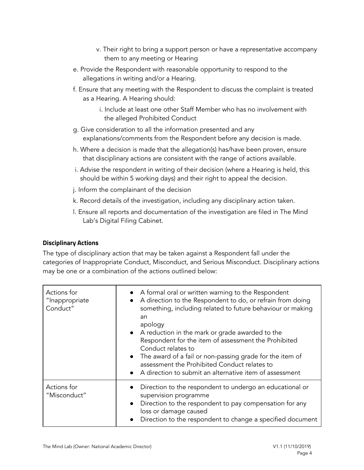- v. Their right to bring a support person or have a representative accompany them to any meeting or Hearing
- e. Provide the Respondent with reasonable opportunity to respond to the allegations in writing and/or a Hearing.
- f. Ensure that any meeting with the Respondent to discuss the complaint is treated as a Hearing. A Hearing should:
	- i. Include at least one other Staff Member who has no involvement with the alleged Prohibited Conduct
- g. Give consideration to all the information presented and any explanations/comments from the Respondent before any decision is made.
- h. Where a decision is made that the allegation(s) has/have been proven, ensure that disciplinary actions are consistent with the range of actions available.
- i. Advise the respondent in writing of their decision (where a Hearing is held, this should be within 5 working days) and their right to appeal the decision.
- j. Inform the complainant of the decision
- k. Record details of the investigation, including any disciplinary action taken.
- l. Ensure all reports and documentation of the investigation are filed in The Mind Lab's Digital Filing Cabinet.

#### <span id="page-3-0"></span>**Disciplinary Actions**

The type of disciplinary action that may be taken against a Respondent fall under the categories of Inappropriate Conduct, Misconduct, and Serious Misconduct. Disciplinary actions may be one or a combination of the actions outlined below:

| Actions for<br>"Inappropriate<br>Conduct" | • A formal oral or written warning to the Respondent<br>A direction to the Respondent to do, or refrain from doing<br>$\bullet$<br>something, including related to future behaviour or making<br>an<br>apology<br>• A reduction in the mark or grade awarded to the<br>Respondent for the item of assessment the Prohibited<br>Conduct relates to<br>• The award of a fail or non-passing grade for the item of<br>assessment the Prohibited Conduct relates to<br>A direction to submit an alternative item of assessment<br>$\bullet$ |
|-------------------------------------------|-----------------------------------------------------------------------------------------------------------------------------------------------------------------------------------------------------------------------------------------------------------------------------------------------------------------------------------------------------------------------------------------------------------------------------------------------------------------------------------------------------------------------------------------|
| Actions for<br>"Misconduct"               | Direction to the respondent to undergo an educational or<br>supervision programme<br>Direction to the respondent to pay compensation for any<br>$\bullet$<br>loss or damage caused<br>Direction to the respondent to change a specified document                                                                                                                                                                                                                                                                                        |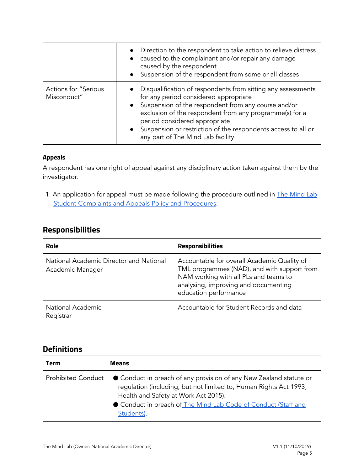|                                            | • Direction to the respondent to take action to relieve distress<br>caused to the complainant and/or repair any damage<br>caused by the respondent<br>• Suspension of the respondent from some or all classes                                                                                                                                                        |
|--------------------------------------------|----------------------------------------------------------------------------------------------------------------------------------------------------------------------------------------------------------------------------------------------------------------------------------------------------------------------------------------------------------------------|
| <b>Actions for "Serious</b><br>Misconduct" | • Disqualification of respondents from sitting any assessments<br>for any period considered appropriate<br>• Suspension of the respondent from any course and/or<br>exclusion of the respondent from any programme(s) for a<br>period considered appropriate<br>• Suspension or restriction of the respondents access to all or<br>any part of The Mind Lab facility |

#### <span id="page-4-0"></span>**Appeals**

A respondent has one right of appeal against any disciplinary action taken against them by the investigator.

1. An application for appeal must be made following the procedure outlined in **The [Mind](https://themindlab.com/student-complaints-and-appeals-policy-and-procedures/) Lab** [Student](https://themindlab.com/student-complaints-and-appeals-policy-and-procedures/) Complaints and Appeals Policy and [Procedures.](https://themindlab.com/student-complaints-and-appeals-policy-and-procedures/)

# <span id="page-4-1"></span>**Responsibilities**

| Role                                                        | <b>Responsibilities</b>                                                                                                                                                                              |
|-------------------------------------------------------------|------------------------------------------------------------------------------------------------------------------------------------------------------------------------------------------------------|
| National Academic Director and National<br>Academic Manager | Accountable for overall Academic Quality of<br>TML programmes (NAD), and with support from<br>NAM working with all PLs and teams to<br>analysing, improving and documenting<br>education performance |
| <b>National Academic</b><br>Registrar                       | Accountable for Student Records and data                                                                                                                                                             |

### <span id="page-4-2"></span>**Definitions**

| Term               | Means                                                                                                                                                                                                                                                         |
|--------------------|---------------------------------------------------------------------------------------------------------------------------------------------------------------------------------------------------------------------------------------------------------------|
| Prohibited Conduct | ● Conduct in breach of any provision of any New Zealand statute or<br>regulation (including, but not limited to, Human Rights Act 1993,<br>Health and Safety at Work Act 2015).<br>Conduct in breach of The Mind Lab Code of Conduct (Staff and<br>Students). |